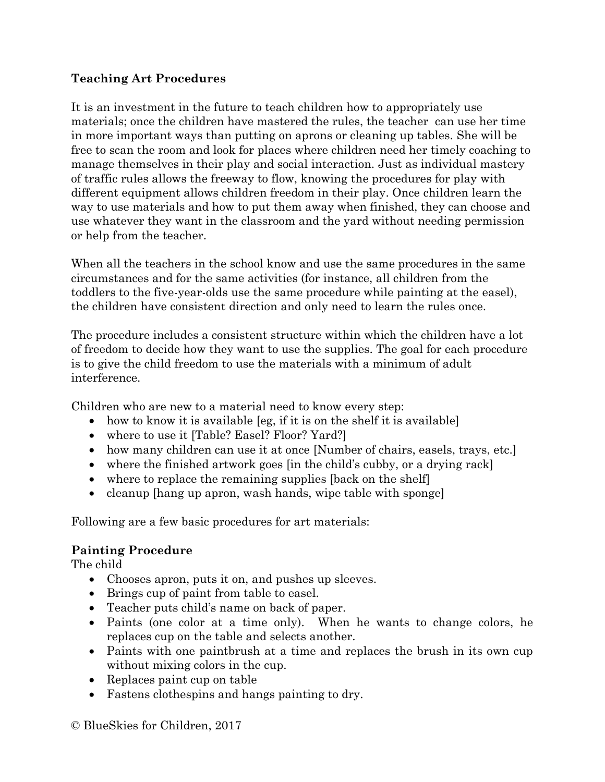## **Teaching Art Procedures**

It is an investment in the future to teach children how to appropriately use materials; once the children have mastered the rules, the teacher can use her time in more important ways than putting on aprons or cleaning up tables. She will be free to scan the room and look for places where children need her timely coaching to manage themselves in their play and social interaction. Just as individual mastery of traffic rules allows the freeway to flow, knowing the procedures for play with different equipment allows children freedom in their play. Once children learn the way to use materials and how to put them away when finished, they can choose and use whatever they want in the classroom and the yard without needing permission or help from the teacher.

When all the teachers in the school know and use the same procedures in the same circumstances and for the same activities (for instance, all children from the toddlers to the five-year-olds use the same procedure while painting at the easel), the children have consistent direction and only need to learn the rules once.

The procedure includes a consistent structure within which the children have a lot of freedom to decide how they want to use the supplies. The goal for each procedure is to give the child freedom to use the materials with a minimum of adult interference.

Children who are new to a material need to know every step:

- how to know it is available [eg, if it is on the shelf it is available]
- where to use it [Table? Easel? Floor? Yard?]
- how many children can use it at once [Number of chairs, easels, trays, etc.]
- where the finished artwork goes [in the child's cubby, or a drying rack]
- where to replace the remaining supplies [back on the shelf]
- cleanup [hang up apron, wash hands, wipe table with sponge]

Following are a few basic procedures for art materials:

## **Painting Procedure**

The child

- Chooses apron, puts it on, and pushes up sleeves.
- Brings cup of paint from table to easel.
- Teacher puts child's name on back of paper.
- Paints (one color at a time only). When he wants to change colors, he replaces cup on the table and selects another.
- Paints with one paintbrush at a time and replaces the brush in its own cup without mixing colors in the cup.
- Replaces paint cup on table
- Fastens clothespins and hangs painting to dry.

© BlueSkies for Children, 2017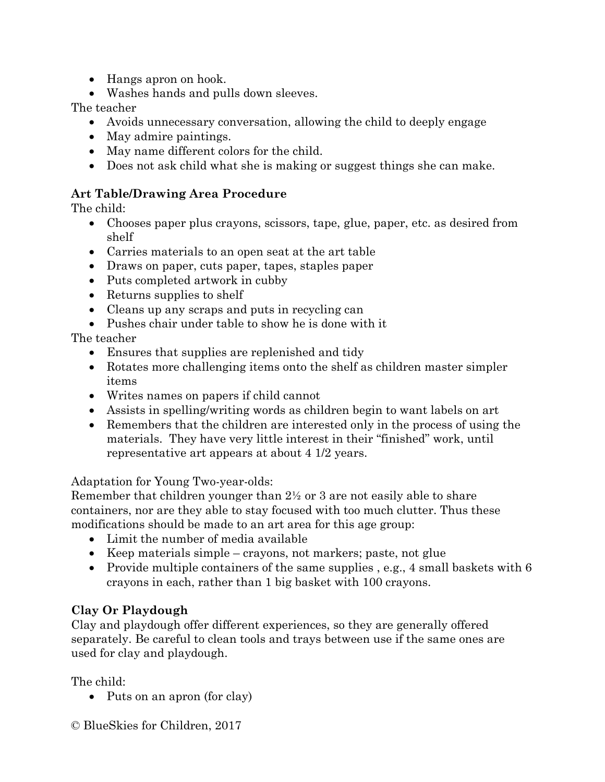- Hangs apron on hook.
- Washes hands and pulls down sleeves.

The teacher

- Avoids unnecessary conversation, allowing the child to deeply engage
- May admire paintings.
- May name different colors for the child.
- Does not ask child what she is making or suggest things she can make.

## **Art Table/Drawing Area Procedure**

The child:

- Chooses paper plus crayons, scissors, tape, glue, paper, etc. as desired from shelf
- Carries materials to an open seat at the art table
- Draws on paper, cuts paper, tapes, staples paper
- Puts completed artwork in cubby
- Returns supplies to shelf
- Cleans up any scraps and puts in recycling can
- Pushes chair under table to show he is done with it

The teacher

- Ensures that supplies are replenished and tidy
- Rotates more challenging items onto the shelf as children master simpler items
- Writes names on papers if child cannot
- Assists in spelling/writing words as children begin to want labels on art
- Remembers that the children are interested only in the process of using the materials. They have very little interest in their "finished" work, until representative art appears at about 4 1/2 years.

Adaptation for Young Two-year-olds:

Remember that children younger than 2½ or 3 are not easily able to share containers, nor are they able to stay focused with too much clutter. Thus these modifications should be made to an art area for this age group:

- Limit the number of media available
- Keep materials simple crayons, not markers; paste, not glue
- Provide multiple containers of the same supplies, e.g., 4 small baskets with 6 crayons in each, rather than 1 big basket with 100 crayons.

## **Clay Or Playdough**

Clay and playdough offer different experiences, so they are generally offered separately. Be careful to clean tools and trays between use if the same ones are used for clay and playdough.

The child:

- Puts on an apron (for clay)
- © BlueSkies for Children, 2017